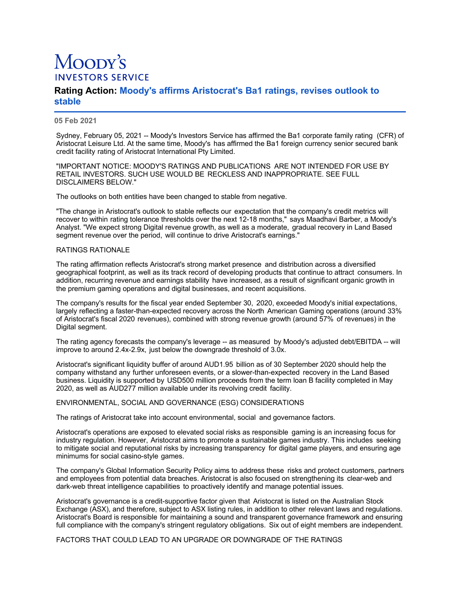# Moopy's **INVESTORS SERVICE**

## **Rating Action: Moody's affirms Aristocrat's Ba1 ratings, revises outlook to stable**

**05 Feb 2021**

Sydney, February 05, 2021 -- Moody's Investors Service has affirmed the Ba1 corporate family rating (CFR) of Aristocrat Leisure Ltd. At the same time, Moody's has affirmed the Ba1 foreign currency senior secured bank credit facility rating of Aristocrat International Pty Limited.

"IMPORTANT NOTICE: MOODY'S RATINGS AND PUBLICATIONS ARE NOT INTENDED FOR USE BY RETAIL INVESTORS. SUCH USE WOULD BE RECKLESS AND INAPPROPRIATE. SEE FULL DISCLAIMERS BELOW."

The outlooks on both entities have been changed to stable from negative.

"The change in Aristocrat's outlook to stable reflects our expectation that the company's credit metrics will recover to within rating tolerance thresholds over the next 12-18 months," says Maadhavi Barber, a Moody's Analyst. "We expect strong Digital revenue growth, as well as a moderate, gradual recovery in Land Based segment revenue over the period, will continue to drive Aristocrat's earnings."

### RATINGS RATIONALE

The rating affirmation reflects Aristocrat's strong market presence and distribution across a diversified geographical footprint, as well as its track record of developing products that continue to attract consumers. In addition, recurring revenue and earnings stability have increased, as a result of significant organic growth in the premium gaming operations and digital businesses, and recent acquisitions.

The company's results for the fiscal year ended September 30, 2020, exceeded Moody's initial expectations, largely reflecting a faster-than-expected recovery across the North American Gaming operations (around 33% of Aristocrat's fiscal 2020 revenues), combined with strong revenue growth (around 57% of revenues) in the Digital segment.

The rating agency forecasts the company's leverage -- as measured by Moody's adjusted debt/EBITDA -- will improve to around 2.4x-2.9x, just below the downgrade threshold of 3.0x.

Aristocrat's significant liquidity buffer of around AUD1.95 billion as of 30 September 2020 should help the company withstand any further unforeseen events, or a slower-than-expected recovery in the Land Based business. Liquidity is supported by USD500 million proceeds from the term loan B facility completed in May 2020, as well as AUD277 million available under its revolving credit facility.

ENVIRONMENTAL, SOCIAL AND GOVERNANCE (ESG) CONSIDERATIONS

The ratings of Aristocrat take into account environmental, social and governance factors.

Aristocrat's operations are exposed to elevated social risks as responsible gaming is an increasing focus for industry regulation. However, Aristocrat aims to promote a sustainable games industry. This includes seeking to mitigate social and reputational risks by increasing transparency for digital game players, and ensuring age minimums for social casino-style games.

The company's Global Information Security Policy aims to address these risks and protect customers, partners and employees from potential data breaches. Aristocrat is also focused on strengthening its clear-web and dark-web threat intelligence capabilities to proactively identify and manage potential issues.

Aristocrat's governance is a credit-supportive factor given that Aristocrat is listed on the Australian Stock Exchange (ASX), and therefore, subject to ASX listing rules, in addition to other relevant laws and regulations. Aristocrat's Board is responsible for maintaining a sound and transparent governance framework and ensuring full compliance with the company's stringent regulatory obligations. Six out of eight members are independent.

FACTORS THAT COULD LEAD TO AN UPGRADE OR DOWNGRADE OF THE RATINGS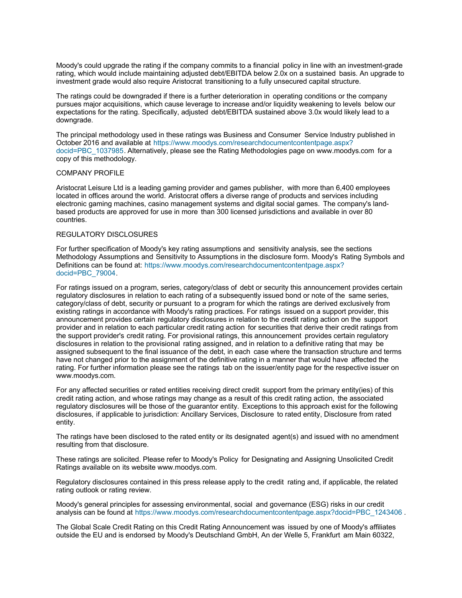Moody's could upgrade the rating if the company commits to a financial policy in line with an investment-grade rating, which would include maintaining adjusted debt/EBITDA below 2.0x on a sustained basis. An upgrade to investment grade would also require Aristocrat transitioning to a fully unsecured capital structure.

The ratings could be downgraded if there is a further deterioration in operating conditions or the company pursues major acquisitions, which cause leverage to increase and/or liquidity weakening to levels below our expectations for the rating. Specifically, adjusted debt/EBITDA sustained above 3.0x would likely lead to a downgrade.

The principal methodology used in these ratings was Business and Consumer Service Industry published in [October 2016 and available at https://www.moodys.com/researchdocumentcontentpage.aspx?](https://www.moodys.com/researchdocumentcontentpage.aspx?docid=PBC_1037985) docid=PBC\_1037985. Alternatively, please see the Rating Methodologies page on www.moodys.com for a copy of this methodology.

#### COMPANY PROFILE

Aristocrat Leisure Ltd is a leading gaming provider and games publisher, with more than 6,400 employees located in offices around the world. Aristocrat offers a diverse range of products and services including electronic gaming machines, casino management systems and digital social games. The company's landbased products are approved for use in more than 300 licensed jurisdictions and available in over 80 countries.

#### REGULATORY DISCLOSURES

For further specification of Moody's key rating assumptions and sensitivity analysis, see the sections Methodology Assumptions and Sensitivity to Assumptions in the disclosure form. Moody's Rating Symbols and [Definitions can be found at: https://www.moodys.com/researchdocumentcontentpage.aspx?](https://www.moodys.com/researchdocumentcontentpage.aspx?docid=PBC_79004) docid=PBC\_79004.

For ratings issued on a program, series, category/class of debt or security this announcement provides certain regulatory disclosures in relation to each rating of a subsequently issued bond or note of the same series, category/class of debt, security or pursuant to a program for which the ratings are derived exclusively from existing ratings in accordance with Moody's rating practices. For ratings issued on a support provider, this announcement provides certain regulatory disclosures in relation to the credit rating action on the support provider and in relation to each particular credit rating action for securities that derive their credit ratings from the support provider's credit rating. For provisional ratings, this announcement provides certain regulatory disclosures in relation to the provisional rating assigned, and in relation to a definitive rating that may be assigned subsequent to the final issuance of the debt, in each case where the transaction structure and terms have not changed prior to the assignment of the definitive rating in a manner that would have affected the rating. For further information please see the ratings tab on the issuer/entity page for the respective issuer on www.moodys.com.

For any affected securities or rated entities receiving direct credit support from the primary entity(ies) of this credit rating action, and whose ratings may change as a result of this credit rating action, the associated regulatory disclosures will be those of the guarantor entity. Exceptions to this approach exist for the following disclosures, if applicable to jurisdiction: Ancillary Services, Disclosure to rated entity, Disclosure from rated entity.

The ratings have been disclosed to the rated entity or its designated agent(s) and issued with no amendment resulting from that disclosure.

These ratings are solicited. Please refer to Moody's Policy for Designating and Assigning Unsolicited Credit Ratings available on its website www.moodys.com.

Regulatory disclosures contained in this press release apply to the credit rating and, if applicable, the related rating outlook or rating review.

Moody's general principles for assessing environmental, social and governance (ESG) risks in our credit analysis can be found at [https://www.moodys.com/researchdocumentcontentpage.aspx?docid=PBC\\_1243406](https://www.moodys.com/researchdocumentcontentpage.aspx?docid=PBC_1243406).

The Global Scale Credit Rating on this Credit Rating Announcement was issued by one of Moody's affiliates outside the EU and is endorsed by Moody's Deutschland GmbH, An der Welle 5, Frankfurt am Main 60322,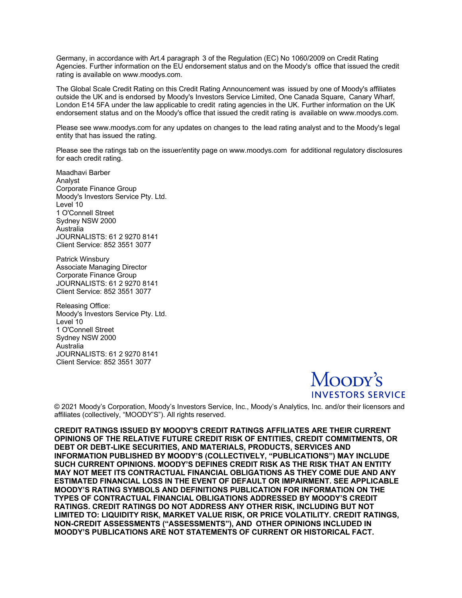Germany, in accordance with Art.4 paragraph 3 of the Regulation (EC) No 1060/2009 on Credit Rating Agencies. Further information on the EU endorsement status and on the Moody's office that issued the credit rating is available on www.moodys.com.

The Global Scale Credit Rating on this Credit Rating Announcement was issued by one of Moody's affiliates outside the UK and is endorsed by Moody's Investors Service Limited, One Canada Square, Canary Wharf, London E14 5FA under the law applicable to credit rating agencies in the UK. Further information on the UK endorsement status and on the Moody's office that issued the credit rating is available on www.moodys.com.

Please see www.moodys.com for any updates on changes to the lead rating analyst and to the Moody's legal entity that has issued the rating.

Please see the ratings tab on the issuer/entity page on www.moodys.com for additional regulatory disclosures for each credit rating.

Maadhavi Barber Analyst Corporate Finance Group Moody's Investors Service Pty. Ltd. Level 10 1 O'Connell Street Sydney NSW 2000 Australia JOURNALISTS: 61 2 9270 8141 Client Service: 852 3551 3077

Patrick Winsbury Associate Managing Director Corporate Finance Group JOURNALISTS: 61 2 9270 8141 Client Service: 852 3551 3077

Releasing Office: Moody's Investors Service Pty. Ltd. Level 10 1 O'Connell Street Sydney NSW 2000 Australia JOURNALISTS: 61 2 9270 8141 Client Service: 852 3551 3077



© 2021 Moody's Corporation, Moody's Investors Service, Inc., Moody's Analytics, Inc. and/or their licensors and affiliates (collectively, "MOODY'S"). All rights reserved.

**CREDIT RATINGS ISSUED BY MOODY'S CREDIT RATINGS AFFILIATES ARE THEIR CURRENT OPINIONS OF THE RELATIVE FUTURE CREDIT RISK OF ENTITIES, CREDIT COMMITMENTS, OR DEBT OR DEBT-LIKE SECURITIES, AND MATERIALS, PRODUCTS, SERVICES AND INFORMATION PUBLISHED BY MOODY'S (COLLECTIVELY, "PUBLICATIONS") MAY INCLUDE SUCH CURRENT OPINIONS. MOODY'S DEFINES CREDIT RISK AS THE RISK THAT AN ENTITY MAY NOT MEET ITS CONTRACTUAL FINANCIAL OBLIGATIONS AS THEY COME DUE AND ANY ESTIMATED FINANCIAL LOSS IN THE EVENT OF DEFAULT OR IMPAIRMENT. SEE APPLICABLE MOODY'S RATING SYMBOLS AND DEFINITIONS PUBLICATION FOR INFORMATION ON THE TYPES OF CONTRACTUAL FINANCIAL OBLIGATIONS ADDRESSED BY MOODY'S CREDIT RATINGS. CREDIT RATINGS DO NOT ADDRESS ANY OTHER RISK, INCLUDING BUT NOT LIMITED TO: LIQUIDITY RISK, MARKET VALUE RISK, OR PRICE VOLATILITY. CREDIT RATINGS, NON-CREDIT ASSESSMENTS ("ASSESSMENTS"), AND OTHER OPINIONS INCLUDED IN MOODY'S PUBLICATIONS ARE NOT STATEMENTS OF CURRENT OR HISTORICAL FACT.**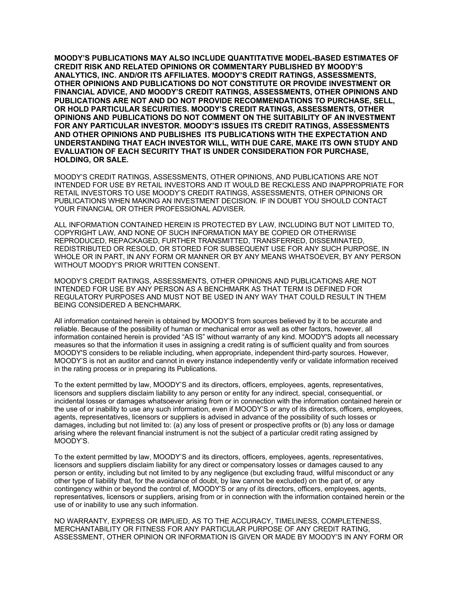**MOODY'S PUBLICATIONS MAY ALSO INCLUDE QUANTITATIVE MODEL-BASED ESTIMATES OF CREDIT RISK AND RELATED OPINIONS OR COMMENTARY PUBLISHED BY MOODY'S ANALYTICS, INC. AND/OR ITS AFFILIATES. MOODY'S CREDIT RATINGS, ASSESSMENTS, OTHER OPINIONS AND PUBLICATIONS DO NOT CONSTITUTE OR PROVIDE INVESTMENT OR FINANCIAL ADVICE, AND MOODY'S CREDIT RATINGS, ASSESSMENTS, OTHER OPINIONS AND PUBLICATIONS ARE NOT AND DO NOT PROVIDE RECOMMENDATIONS TO PURCHASE, SELL, OR HOLD PARTICULAR SECURITIES. MOODY'S CREDIT RATINGS, ASSESSMENTS, OTHER OPINIONS AND PUBLICATIONS DO NOT COMMENT ON THE SUITABILITY OF AN INVESTMENT FOR ANY PARTICULAR INVESTOR. MOODY'S ISSUES ITS CREDIT RATINGS, ASSESSMENTS AND OTHER OPINIONS AND PUBLISHES ITS PUBLICATIONS WITH THE EXPECTATION AND UNDERSTANDING THAT EACH INVESTOR WILL, WITH DUE CARE, MAKE ITS OWN STUDY AND EVALUATION OF EACH SECURITY THAT IS UNDER CONSIDERATION FOR PURCHASE, HOLDING, OR SALE.** 

MOODY'S CREDIT RATINGS, ASSESSMENTS, OTHER OPINIONS, AND PUBLICATIONS ARE NOT INTENDED FOR USE BY RETAIL INVESTORS AND IT WOULD BE RECKLESS AND INAPPROPRIATE FOR RETAIL INVESTORS TO USE MOODY'S CREDIT RATINGS, ASSESSMENTS, OTHER OPINIONS OR PUBLICATIONS WHEN MAKING AN INVESTMENT DECISION. IF IN DOUBT YOU SHOULD CONTACT YOUR FINANCIAL OR OTHER PROFESSIONAL ADVISER.

ALL INFORMATION CONTAINED HEREIN IS PROTECTED BY LAW, INCLUDING BUT NOT LIMITED TO, COPYRIGHT LAW, AND NONE OF SUCH INFORMATION MAY BE COPIED OR OTHERWISE REPRODUCED, REPACKAGED, FURTHER TRANSMITTED, TRANSFERRED, DISSEMINATED, REDISTRIBUTED OR RESOLD, OR STORED FOR SUBSEQUENT USE FOR ANY SUCH PURPOSE, IN WHOLE OR IN PART, IN ANY FORM OR MANNER OR BY ANY MEANS WHATSOEVER, BY ANY PERSON WITHOUT MOODY'S PRIOR WRITTEN CONSENT.

MOODY'S CREDIT RATINGS, ASSESSMENTS, OTHER OPINIONS AND PUBLICATIONS ARE NOT INTENDED FOR USE BY ANY PERSON AS A BENCHMARK AS THAT TERM IS DEFINED FOR REGULATORY PURPOSES AND MUST NOT BE USED IN ANY WAY THAT COULD RESULT IN THEM BEING CONSIDERED A BENCHMARK.

All information contained herein is obtained by MOODY'S from sources believed by it to be accurate and reliable. Because of the possibility of human or mechanical error as well as other factors, however, all information contained herein is provided "AS IS" without warranty of any kind. MOODY'S adopts all necessary measures so that the information it uses in assigning a credit rating is of sufficient quality and from sources MOODY'S considers to be reliable including, when appropriate, independent third-party sources. However, MOODY'S is not an auditor and cannot in every instance independently verify or validate information received in the rating process or in preparing its Publications.

To the extent permitted by law, MOODY'S and its directors, officers, employees, agents, representatives, licensors and suppliers disclaim liability to any person or entity for any indirect, special, consequential, or incidental losses or damages whatsoever arising from or in connection with the information contained herein or the use of or inability to use any such information, even if MOODY'S or any of its directors, officers, employees, agents, representatives, licensors or suppliers is advised in advance of the possibility of such losses or damages, including but not limited to: (a) any loss of present or prospective profits or (b) any loss or damage arising where the relevant financial instrument is not the subject of a particular credit rating assigned by MOODY'S.

To the extent permitted by law, MOODY'S and its directors, officers, employees, agents, representatives, licensors and suppliers disclaim liability for any direct or compensatory losses or damages caused to any person or entity, including but not limited to by any negligence (but excluding fraud, willful misconduct or any other type of liability that, for the avoidance of doubt, by law cannot be excluded) on the part of, or any contingency within or beyond the control of, MOODY'S or any of its directors, officers, employees, agents, representatives, licensors or suppliers, arising from or in connection with the information contained herein or the use of or inability to use any such information.

NO WARRANTY, EXPRESS OR IMPLIED, AS TO THE ACCURACY, TIMELINESS, COMPLETENESS, MERCHANTABILITY OR FITNESS FOR ANY PARTICULAR PURPOSE OF ANY CREDIT RATING, ASSESSMENT, OTHER OPINION OR INFORMATION IS GIVEN OR MADE BY MOODY'S IN ANY FORM OR